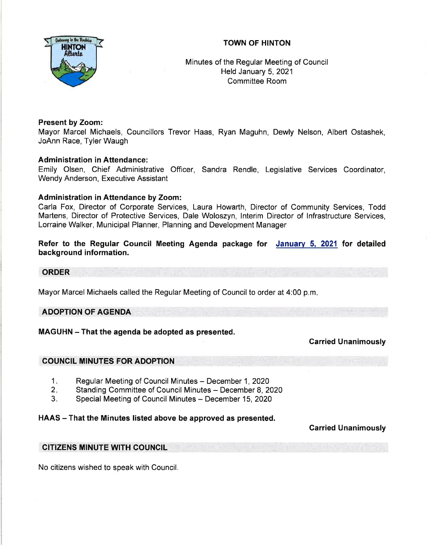# TOWN OF HINTON



Minutes of the Regular Meeting of Council Held January 5,2021 Committee Room

## Present by Zoom:

Mayor Marcel Michaels, Councillors Trevor Haas, Ryan Maguhn, Dewly Nelson, Albert Ostashek, JoAnn Race, Tyler Waugh

## Administration in Attendance:

Emily Olsen, Chief Administrative Officer, Sandra Rendle, Legislative Services Coordinator, Wendy Anderson, Executive Assistant

## Administration in Attendance by Zoom:

Carla Fox, Director of Corporate Services, Laura Howarth, Director of Community Services, Todd Martens, Director of Protective Services, Dale Woloszyn, lnterim Director of lnfrastructure Services, Lorraine Walker, Municipal Planner, Planning and Development Manager

Refer to the Regular Gouncil Meeting Agenda package for January 5, 2021 for detailed background information.

### ORDER

Mayor Marcel Michaels called the Regular Meeting of Council to order at 4:00 p.m

### ADOPTION OF AGENDA

# MAGUHN - That the agenda be adopted as presented.

# Carried Unanimously

### COUNCIL MINUTES FOR ADOPTION

- Regular Meeting of Council Minutes December 1, 2020  $1<sub>n</sub>$
- Standing Committee of Council Minutes December 8, 2020  $2 -$
- Special Meeting of Council Minutes December 15, 2020  $3<sub>1</sub>$

### HAAS - That the Minutes listed above be approved as presented.

# Garried Unanimously

### CITIZENS MINUTE WITH COUNCIL

No citizens wished to speak with Council.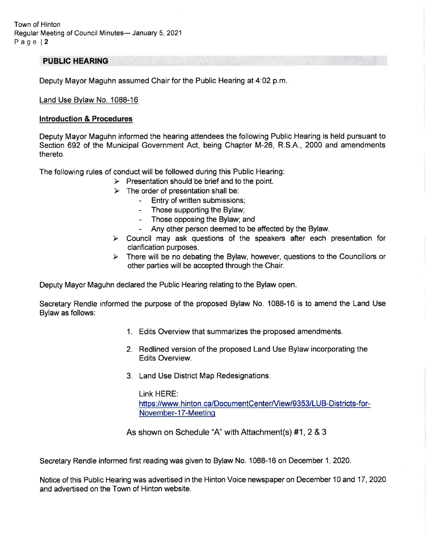### PUBLIC HEARING

Deputy Mayor Maguhn assumed Chair for the Public Hearing at 4:02 p.m

#### Land Use Bvlaw No.1088-16

#### lntroduction & Procedures

Deputy Mayor Maguhn informed the hearing attendees the following Public Hearing is held pursuant to Section 692 of the Municipal Government Act, being Chapter M-26, R.S.A., 2000 and amendments thereto.

The following rules of conduct will be followed during this Public Hearing:

- $\triangleright$  Presentation should be brief and to the point.
	- $\geq$  The order of presentation shall be:<br>Entry of written submissions;
		-
		- Those supporting the Bylaw;
		- Those opposing the Bylaw; and
		-
- Any other person deemed to be affected by the Bylaw.<br>
> Council may ask questions of the speakers after each presentation for clarification purposes.
- $\triangleright$  There will be no debating the Bylaw, however, questions to the Councillors or other parties will be accepted through the Chair.

Deputy Mayor Maguhn declared the Public Hearing relating to the Bylaw open

Secretary Rendle informed the purpose of the proposed Bylaw No. 1088-16 is to amend the Land Use Bylaw as follows:

- 1. Edits Overview that summarizes the proposed amendments
- 2. Redlined version of the proposed Land Use Bylaw incorporating the Edits Overview.
- 3. Land Use District Map Redesignations

Link HERE: https://www.hinton.ca/DocumentCenter/View/9353/LUB-Districts-for-November-17-Meetinq

As shown on Schedule "A" with Attachment(s) #1,2 &3

Secretary Rendle informed first reading was given to Bylaw No. 1088-16 on December 1, 2020.

Notice of this Public Hearing was advertised in the Hinton Voice newspaper on December 10 and 17 ,2020 and advertised on the Town of Hinton website.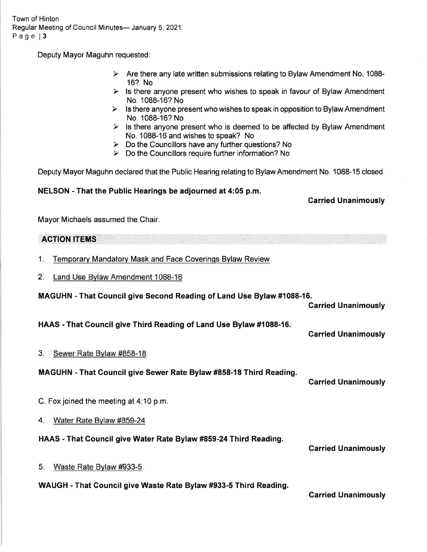Town of Hinton Regular Meeting of Council Minutes- January 5, 2021 Page 13

Deputy Mayor Maguhn requested:

- $\triangleright$  Are there any late written submissions relating to Bylaw Amendment No. 1088-16? No
- $\triangleright$  Is there anyone present who wishes to speak in favour of Bylaw Amendment No. 1088-16? No
- $\triangleright$  Is there anyone present who wishes to speak in opposition to Bylaw Amendment No. 1088-16? No
- $\triangleright$  Is there anyone present who is deemed to be affected by Bylaw Amendment No. 1088-16 and wishes to speak? No
- $\triangleright$  Do the Councillors have any further questions? No
- $\triangleright$  Do the Councillors require further information? No

Deputy Mayor Maguhn declared that the Public Hearing relating to Bylaw Amendment No. 1088-15 closed.

## NELSON - That the Public Hearings be adjourned at 4:05 p.m.

## Garried Unanimously

Mayor Michaels assumed the Chair.

# ACTION ITEMS

- 1. Temporary Mandatorv Mask and Face Coverinqs Bvlaw Review
- 2. Land Use Bvlaw Amendment 1088-16

MAGUHN - That Gouncil give Second Reading of Land Use Bylaw#1088-16.

Garried Unanimously

HAAS - That Gouncil give Third Reading of Land Use Bylaw #1088-16.

Garried Unanimously

# 3. Sewer Rate Bvlaw #858-18

MAGUHN - That Council give Sewer Rate Bylaw #858-18 Third Reading.

Garried Unanimously

C. Fox joined the meeting at 4:10 p.m.

4. Water Rate Bvlaw #859-24

HAAS - That Council give Water Rate Bylaw #859-24 Third Reading.

Garried Unanimously

5. Waste Rate Bvlaw #933-5

# WAUGH - That Gouncil give Waste Rate Bylaw #933-5 Third Reading.

Carried Unanimously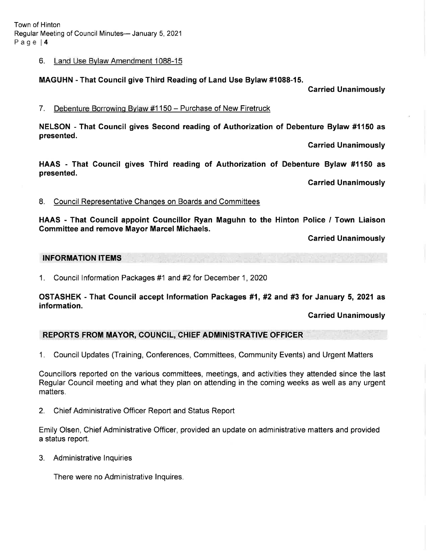Town of Hinton Regular Meeting of Council Minutes- January 5, 2021 Page l4

#### 6. Land Use Bvlaw Amendment 1088-15

### MAGUHN - That Council give Third Reading of Land Use Bylaw #1088-15.

Garried Unanimously

#### <sup>7</sup>. Debenture Borrowinq Bvlaw #1 <sup>150</sup>- Purchase of New Firetruck

NELSON - That Gouncil gives Second reading of Authorization of Debenture Bylaw #1150 as presented.

Garried Unanimously

HAAS - That Gouncil gives Third reading of Authorization of Debenture Bylaw #1150 as presented.

Carried Unanimously

#### 8. Council Representative Changes on Boards and Committees

HAAS - That Council appoint Councillor Ryan Maguhn to the Hinton Police / Town Liaison Committee and remove Mayor Marcel Michaels.

Carried Unanimously

### INFORMATION ITEMS

1. Council Information Packages #1 and #2 for December 1, 2020

OSTASHEK - That Gouncil accept lnformation Packages #1, #2 and #3 for January 5, 2021 as information.

Garried Unanimously

# REPORTS FROM MAYOR, COUNCIL, CHIEF ADMINISTRATIVE OFFICER

1, Council Updates (Training, Conferences, Committees, Community Events) and Urgent Matters

Councillors reported on the various committees, meetings, and activities they attended since the last Regular Council meeting and what they plan on attending in the coming weeks as well as any urgent matters.

2. Chief Administrative Officer Report and Status Report

Emily Olsen, Chief Administrative Officer, provided an update on administrative matters and provided a status report.

3. Administrative lnquiries

There were no Administrative lnquires.